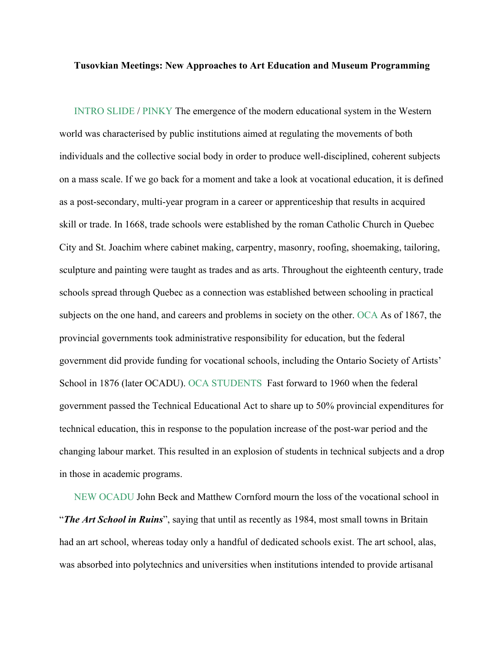## **Tusovkian Meetings: New Approaches to Art Education and Museum Programming**

INTRO SLIDE / PINKY The emergence of the modern educational system in the Western world was characterised by public institutions aimed at regulating the movements of both individuals and the collective social body in order to produce well-disciplined, coherent subjects on a mass scale. If we go back for a moment and take a look at vocational education, it is defined as a post-secondary, multi-year program in a career or apprenticeship that results in acquired skill or trade. In 1668, trade schools were established by the roman Catholic Church in Quebec City and St. Joachim where cabinet making, carpentry, masonry, roofing, shoemaking, tailoring, sculpture and painting were taught as trades and as arts. Throughout the eighteenth century, trade schools spread through Quebec as a connection was established between schooling in practical subjects on the one hand, and careers and problems in society on the other. OCA As of 1867, the provincial governments took administrative responsibility for education, but the federal government did provide funding for vocational schools, including the Ontario Society of Artists' School in 1876 (later OCADU). OCA STUDENTS Fast forward to 1960 when the federal government passed the Technical Educational Act to share up to 50% provincial expenditures for technical education, this in response to the population increase of the post-war period and the changing labour market. This resulted in an explosion of students in technical subjects and a drop in those in academic programs.

NEW OCADU John Beck and Matthew Cornford mourn the loss of the vocational school in "*The Art School in Ruins*", saying that until as recently as 1984, most small towns in Britain had an art school, whereas today only a handful of dedicated schools exist. The art school, alas, was absorbed into polytechnics and universities when institutions intended to provide artisanal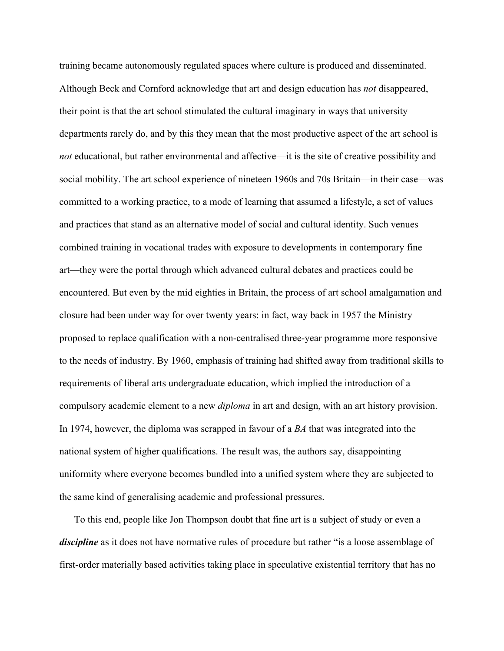training became autonomously regulated spaces where culture is produced and disseminated. Although Beck and Cornford acknowledge that art and design education has *not* disappeared, their point is that the art school stimulated the cultural imaginary in ways that university departments rarely do, and by this they mean that the most productive aspect of the art school is *not* educational, but rather environmental and affective—it is the site of creative possibility and social mobility. The art school experience of nineteen 1960s and 70s Britain—in their case—was committed to a working practice, to a mode of learning that assumed a lifestyle, a set of values and practices that stand as an alternative model of social and cultural identity. Such venues combined training in vocational trades with exposure to developments in contemporary fine art—they were the portal through which advanced cultural debates and practices could be encountered. But even by the mid eighties in Britain, the process of art school amalgamation and closure had been under way for over twenty years: in fact, way back in 1957 the Ministry proposed to replace qualification with a non-centralised three-year programme more responsive to the needs of industry. By 1960, emphasis of training had shifted away from traditional skills to requirements of liberal arts undergraduate education, which implied the introduction of a compulsory academic element to a new *diploma* in art and design, with an art history provision. In 1974, however, the diploma was scrapped in favour of a *BA* that was integrated into the national system of higher qualifications. The result was, the authors say, disappointing uniformity where everyone becomes bundled into a unified system where they are subjected to the same kind of generalising academic and professional pressures.

To this end, people like Jon Thompson doubt that fine art is a subject of study or even a *discipline* as it does not have normative rules of procedure but rather "is a loose assemblage of first-order materially based activities taking place in speculative existential territory that has no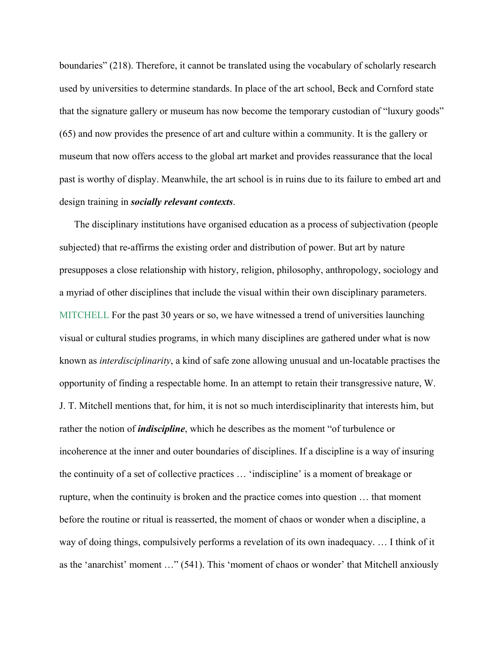boundaries" (218). Therefore, it cannot be translated using the vocabulary of scholarly research used by universities to determine standards. In place of the art school, Beck and Cornford state that the signature gallery or museum has now become the temporary custodian of "luxury goods" (65) and now provides the presence of art and culture within a community. It is the gallery or museum that now offers access to the global art market and provides reassurance that the local past is worthy of display. Meanwhile, the art school is in ruins due to its failure to embed art and design training in *socially relevant contexts*.

The disciplinary institutions have organised education as a process of subjectivation (people subjected) that re-affirms the existing order and distribution of power. But art by nature presupposes a close relationship with history, religion, philosophy, anthropology, sociology and a myriad of other disciplines that include the visual within their own disciplinary parameters. MITCHELL For the past 30 years or so, we have witnessed a trend of universities launching visual or cultural studies programs, in which many disciplines are gathered under what is now known as *interdisciplinarity*, a kind of safe zone allowing unusual and un-locatable practises the opportunity of finding a respectable home. In an attempt to retain their transgressive nature, W. J. T. Mitchell mentions that, for him, it is not so much interdisciplinarity that interests him, but rather the notion of *indiscipline*, which he describes as the moment "of turbulence or incoherence at the inner and outer boundaries of disciplines. If a discipline is a way of insuring the continuity of a set of collective practices … 'indiscipline' is a moment of breakage or rupture, when the continuity is broken and the practice comes into question … that moment before the routine or ritual is reasserted, the moment of chaos or wonder when a discipline, a way of doing things, compulsively performs a revelation of its own inadequacy. … I think of it as the 'anarchist' moment …" (541). This 'moment of chaos or wonder' that Mitchell anxiously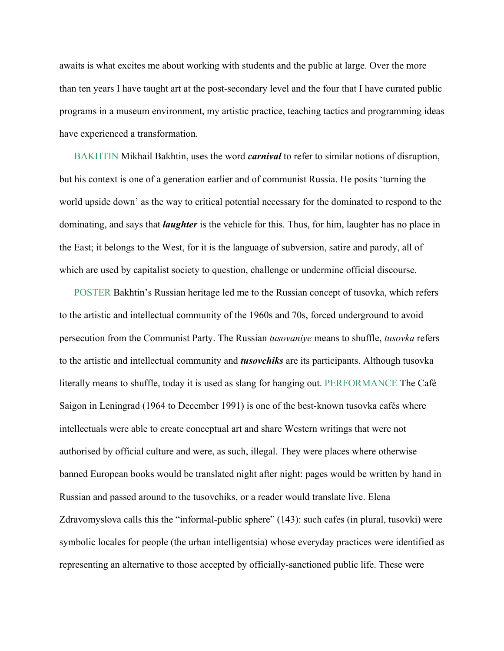awaits is what excites me about working with students and the public at large. Over the more than ten years I have taught art at the post-secondary level and the four that I have curated public programs in a museum environment, my artistic practice, teaching tactics and programming ideas have experienced a transformation.

BAKHTIN Mikhail Bakhtin, uses the word *carnival* to refer to similar notions of disruption, but his context is one of a generation earlier and of communist Russia. He posits 'turning the world upside down' as the way to critical potential necessary for the dominated to respond to the dominating, and says that *laughter* is the vehicle for this. Thus, for him, laughter has no place in the East; it belongs to the West, for it is the language of subversion, satire and parody, all of which are used by capitalist society to question, challenge or undermine official discourse.

POSTER Bakhtin's Russian heritage led me to the Russian concept of tusovka, which refers to the artistic and intellectual community of the 1960s and 70s, forced underground to avoid persecution from the Communist Party. The Russian *tusovaniye* means to shuffle, *tusovka* refers to the artistic and intellectual community and *tusovchiks* are its participants. Although tusovka literally means to shuffle, today it is used as slang for hanging out. PERFORMANCE The Café Saigon in Leningrad (1964 to December 1991) is one of the best-known tusovka cafés where intellectuals were able to create conceptual art and share Western writings that were not authorised by official culture and were, as such, illegal. They were places where otherwise banned European books would be translated night after night: pages would be written by hand in Russian and passed around to the tusovchiks, or a reader would translate live. Elena Zdravomyslova calls this the "informal-public sphere" (143): such cafes (in plural, tusovki) were symbolic locales for people (the urban intelligentsia) whose everyday practices were identified as representing an alternative to those accepted by officially-sanctioned public life. These were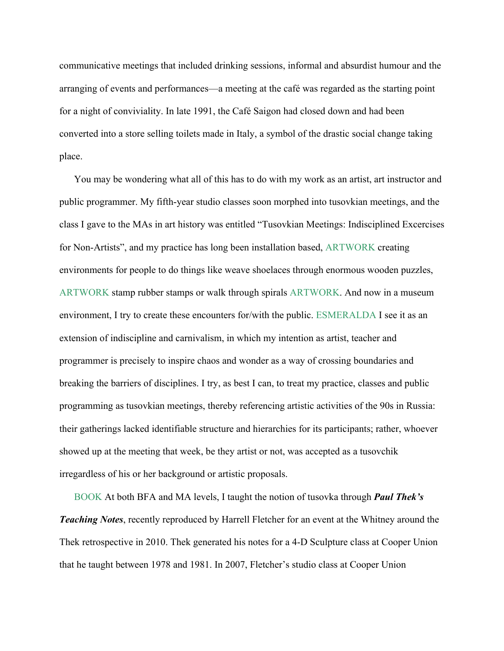communicative meetings that included drinking sessions, informal and absurdist humour and the arranging of events and performances—a meeting at the café was regarded as the starting point for a night of conviviality. In late 1991, the Café Saigon had closed down and had been converted into a store selling toilets made in Italy, a symbol of the drastic social change taking place.

You may be wondering what all of this has to do with my work as an artist, art instructor and public programmer. My fifth-year studio classes soon morphed into tusovkian meetings, and the class I gave to the MAs in art history was entitled "Tusovkian Meetings: Indisciplined Excercises for Non-Artists", and my practice has long been installation based, ARTWORK creating environments for people to do things like weave shoelaces through enormous wooden puzzles, ARTWORK stamp rubber stamps or walk through spirals ARTWORK. And now in a museum environment, I try to create these encounters for/with the public. ESMERALDA I see it as an extension of indiscipline and carnivalism, in which my intention as artist, teacher and programmer is precisely to inspire chaos and wonder as a way of crossing boundaries and breaking the barriers of disciplines. I try, as best I can, to treat my practice, classes and public programming as tusovkian meetings, thereby referencing artistic activities of the 90s in Russia: their gatherings lacked identifiable structure and hierarchies for its participants; rather, whoever showed up at the meeting that week, be they artist or not, was accepted as a tusovchik irregardless of his or her background or artistic proposals.

BOOK At both BFA and MA levels, I taught the notion of tusovka through *Paul Thek's Teaching Notes*, recently reproduced by Harrell Fletcher for an event at the Whitney around the Thek retrospective in 2010. Thek generated his notes for a 4-D Sculpture class at Cooper Union that he taught between 1978 and 1981. In 2007, Fletcher's studio class at Cooper Union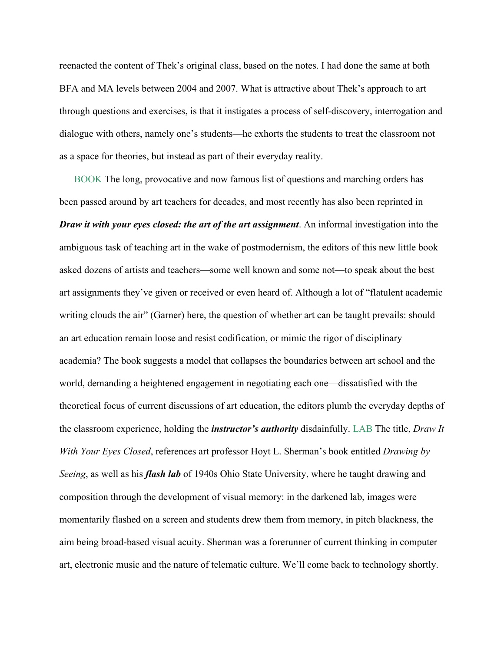reenacted the content of Thek's original class, based on the notes. I had done the same at both BFA and MA levels between 2004 and 2007. What is attractive about Thek's approach to art through questions and exercises, is that it instigates a process of self-discovery, interrogation and dialogue with others, namely one's students—he exhorts the students to treat the classroom not as a space for theories, but instead as part of their everyday reality.

BOOK The long, provocative and now famous list of questions and marching orders has been passed around by art teachers for decades, and most recently has also been reprinted in *Draw it with your eyes closed: the art of the art assignment*. An informal investigation into the ambiguous task of teaching art in the wake of postmodernism, the editors of this new little book asked dozens of artists and teachers—some well known and some not—to speak about the best art assignments they've given or received or even heard of. Although a lot of "flatulent academic writing clouds the air" (Garner) here, the question of whether art can be taught prevails: should an art education remain loose and resist codification, or mimic the rigor of disciplinary academia? The book suggests a model that collapses the boundaries between art school and the world, demanding a heightened engagement in negotiating each one—dissatisfied with the theoretical focus of current discussions of art education, the editors plumb the everyday depths of the classroom experience, holding the *instructor's authority* disdainfully. LAB The title, *Draw It With Your Eyes Closed*, references art professor Hoyt L. Sherman's book entitled *Drawing by Seeing*, as well as his *flash lab* of 1940s Ohio State University, where he taught drawing and composition through the development of visual memory: in the darkened lab, images were momentarily flashed on a screen and students drew them from memory, in pitch blackness, the aim being broad-based visual acuity. Sherman was a forerunner of current thinking in computer art, electronic music and the nature of telematic culture. We'll come back to technology shortly.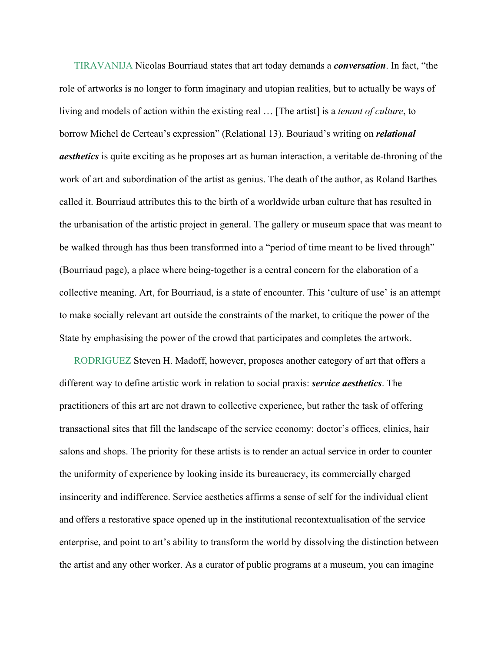TIRAVANIJA Nicolas Bourriaud states that art today demands a *conversation*. In fact, "the role of artworks is no longer to form imaginary and utopian realities, but to actually be ways of living and models of action within the existing real … [The artist] is a *tenant of culture*, to borrow Michel de Certeau's expression" (Relational 13). Bouriaud's writing on *relational aesthetics* is quite exciting as he proposes art as human interaction, a veritable de-throning of the work of art and subordination of the artist as genius. The death of the author, as Roland Barthes called it. Bourriaud attributes this to the birth of a worldwide urban culture that has resulted in the urbanisation of the artistic project in general. The gallery or museum space that was meant to be walked through has thus been transformed into a "period of time meant to be lived through" (Bourriaud page), a place where being-together is a central concern for the elaboration of a collective meaning. Art, for Bourriaud, is a state of encounter. This 'culture of use' is an attempt to make socially relevant art outside the constraints of the market, to critique the power of the State by emphasising the power of the crowd that participates and completes the artwork.

RODRIGUEZ Steven H. Madoff, however, proposes another category of art that offers a different way to define artistic work in relation to social praxis: *service aesthetics*. The practitioners of this art are not drawn to collective experience, but rather the task of offering transactional sites that fill the landscape of the service economy: doctor's offices, clinics, hair salons and shops. The priority for these artists is to render an actual service in order to counter the uniformity of experience by looking inside its bureaucracy, its commercially charged insincerity and indifference. Service aesthetics affirms a sense of self for the individual client and offers a restorative space opened up in the institutional recontextualisation of the service enterprise, and point to art's ability to transform the world by dissolving the distinction between the artist and any other worker. As a curator of public programs at a museum, you can imagine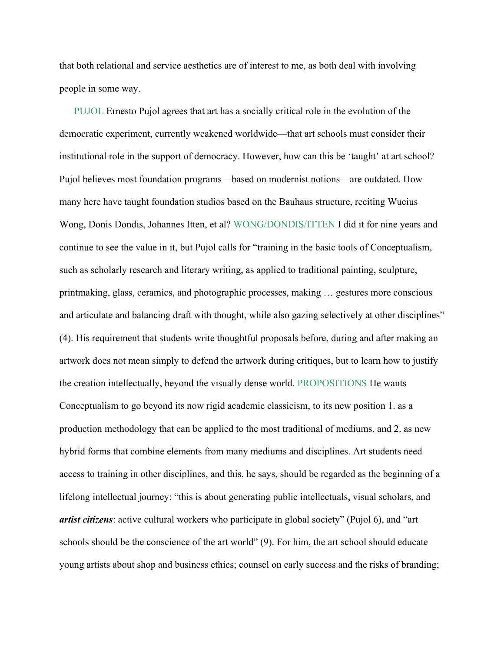that both relational and service aesthetics are of interest to me, as both deal with involving people in some way.

PUJOL Ernesto Pujol agrees that art has a socially critical role in the evolution of the democratic experiment, currently weakened worldwide—that art schools must consider their institutional role in the support of democracy. However, how can this be 'taught' at art school? Pujol believes most foundation programs—based on modernist notions—are outdated. How many here have taught foundation studios based on the Bauhaus structure, reciting Wucius Wong, Donis Dondis, Johannes Itten, et al? WONG/DONDIS/ITTEN I did it for nine years and continue to see the value in it, but Pujol calls for "training in the basic tools of Conceptualism, such as scholarly research and literary writing, as applied to traditional painting, sculpture, printmaking, glass, ceramics, and photographic processes, making … gestures more conscious and articulate and balancing draft with thought, while also gazing selectively at other disciplines" (4). His requirement that students write thoughtful proposals before, during and after making an artwork does not mean simply to defend the artwork during critiques, but to learn how to justify the creation intellectually, beyond the visually dense world. PROPOSITIONS He wants Conceptualism to go beyond its now rigid academic classicism, to its new position 1. as a production methodology that can be applied to the most traditional of mediums, and 2. as new hybrid forms that combine elements from many mediums and disciplines. Art students need access to training in other disciplines, and this, he says, should be regarded as the beginning of a lifelong intellectual journey: "this is about generating public intellectuals, visual scholars, and *artist citizens*: active cultural workers who participate in global society" (Pujol 6), and "art schools should be the conscience of the art world" (9). For him, the art school should educate young artists about shop and business ethics; counsel on early success and the risks of branding;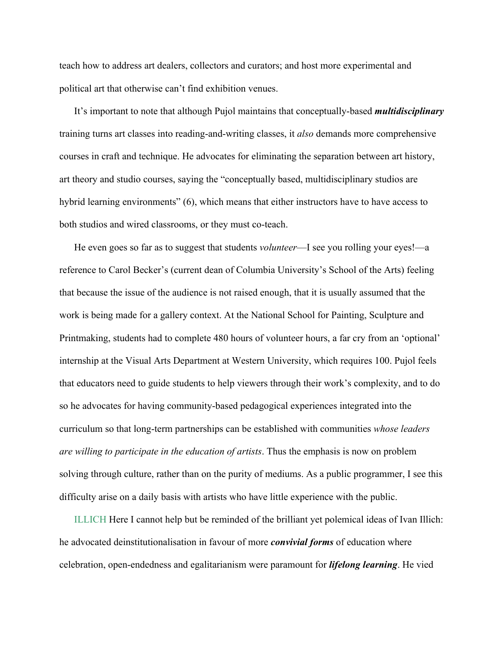teach how to address art dealers, collectors and curators; and host more experimental and political art that otherwise can't find exhibition venues.

It's important to note that although Pujol maintains that conceptually-based *multidisciplinary* training turns art classes into reading-and-writing classes, it *also* demands more comprehensive courses in craft and technique. He advocates for eliminating the separation between art history, art theory and studio courses, saying the "conceptually based, multidisciplinary studios are hybrid learning environments" (6), which means that either instructors have to have access to both studios and wired classrooms, or they must co-teach.

He even goes so far as to suggest that students *volunteer*—I see you rolling your eyes!—a reference to Carol Becker's (current dean of Columbia University's School of the Arts) feeling that because the issue of the audience is not raised enough, that it is usually assumed that the work is being made for a gallery context. At the National School for Painting, Sculpture and Printmaking, students had to complete 480 hours of volunteer hours, a far cry from an 'optional' internship at the Visual Arts Department at Western University, which requires 100. Pujol feels that educators need to guide students to help viewers through their work's complexity, and to do so he advocates for having community-based pedagogical experiences integrated into the curriculum so that long-term partnerships can be established with communities *whose leaders are willing to participate in the education of artists*. Thus the emphasis is now on problem solving through culture, rather than on the purity of mediums. As a public programmer, I see this difficulty arise on a daily basis with artists who have little experience with the public.

ILLICH Here I cannot help but be reminded of the brilliant yet polemical ideas of Ivan Illich: he advocated deinstitutionalisation in favour of more *convivial forms* of education where celebration, open-endedness and egalitarianism were paramount for *lifelong learning*. He vied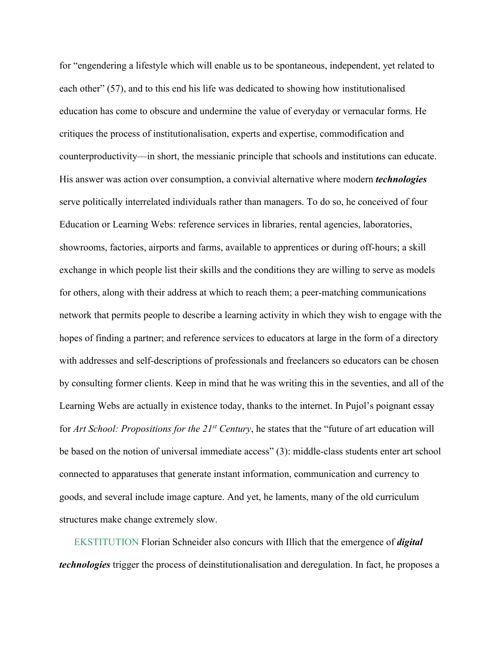for "engendering a lifestyle which will enable us to be spontaneous, independent, yet related to each other" (57), and to this end his life was dedicated to showing how institutionalised education has come to obscure and undermine the value of everyday or vernacular forms. He critiques the process of institutionalisation, experts and expertise, commodification and counterproductivity—in short, the messianic principle that schools and institutions can educate. His answer was action over consumption, a convivial alternative where modern *technologies* serve politically interrelated individuals rather than managers. To do so, he conceived of four Education or Learning Webs: reference services in libraries, rental agencies, laboratories, showrooms, factories, airports and farms, available to apprentices or during off-hours; a skill exchange in which people list their skills and the conditions they are willing to serve as models for others, along with their address at which to reach them; a peer-matching communications network that permits people to describe a learning activity in which they wish to engage with the hopes of finding a partner; and reference services to educators at large in the form of a directory with addresses and self-descriptions of professionals and freelancers so educators can be chosen by consulting former clients. Keep in mind that he was writing this in the seventies, and all of the Learning Webs are actually in existence today, thanks to the internet. In Pujol's poignant essay for *Art School: Propositions for the 21st Century*, he states that the "future of art education will be based on the notion of universal immediate access" (3): middle-class students enter art school connected to apparatuses that generate instant information, communication and currency to goods, and several include image capture. And yet, he laments, many of the old curriculum structures make change extremely slow.

EKSTITUTION Florian Schneider also concurs with Illich that the emergence of *digital technologies* trigger the process of deinstitutionalisation and deregulation. In fact, he proposes a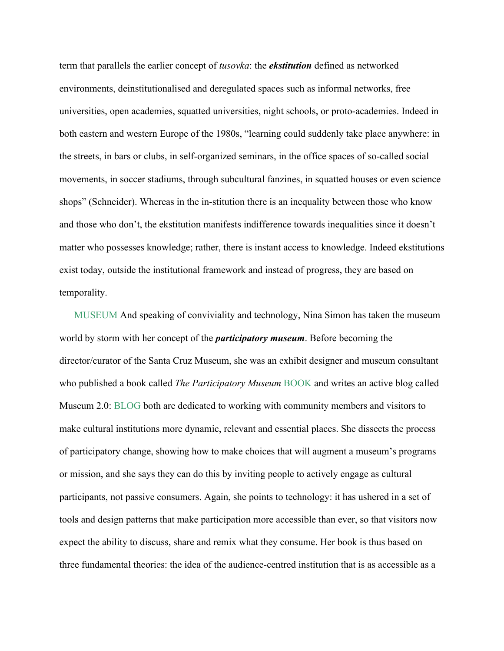term that parallels the earlier concept of *tusovka*: the *ekstitution* defined as networked environments, deinstitutionalised and deregulated spaces such as informal networks, free universities, open academies, squatted universities, night schools, or proto-academies. Indeed in both eastern and western Europe of the 1980s, "learning could suddenly take place anywhere: in the streets, in bars or clubs, in self-organized seminars, in the office spaces of so-called social movements, in soccer stadiums, through subcultural fanzines, in squatted houses or even science shops" (Schneider). Whereas in the in-stitution there is an inequality between those who know and those who don't, the ekstitution manifests indifference towards inequalities since it doesn't matter who possesses knowledge; rather, there is instant access to knowledge. Indeed ekstitutions exist today, outside the institutional framework and instead of progress, they are based on temporality.

MUSEUM And speaking of conviviality and technology, Nina Simon has taken the museum world by storm with her concept of the *participatory museum*. Before becoming the director/curator of the Santa Cruz Museum, she was an exhibit designer and museum consultant who published a book called *The Participatory Museum* BOOK and writes an active blog called Museum 2.0: BLOG both are dedicated to working with community members and visitors to make cultural institutions more dynamic, relevant and essential places. She dissects the process of participatory change, showing how to make choices that will augment a museum's programs or mission, and she says they can do this by inviting people to actively engage as cultural participants, not passive consumers. Again, she points to technology: it has ushered in a set of tools and design patterns that make participation more accessible than ever, so that visitors now expect the ability to discuss, share and remix what they consume. Her book is thus based on three fundamental theories: the idea of the audience-centred institution that is as accessible as a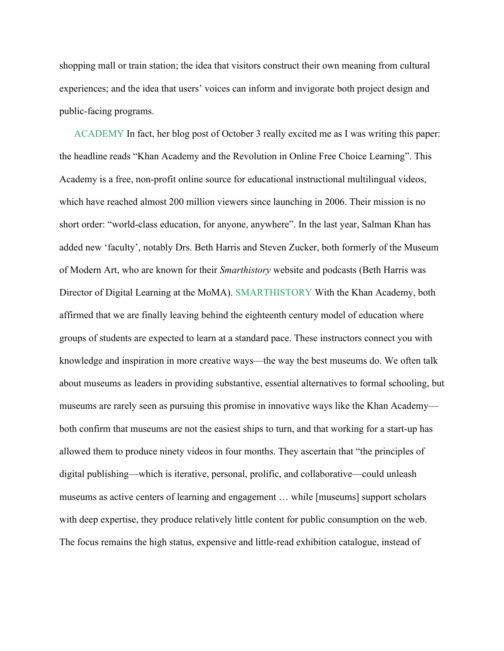shopping mall or train station; the idea that visitors construct their own meaning from cultural experiences; and the idea that users' voices can inform and invigorate both project design and public-facing programs.

ACADEMY In fact, her blog post of October 3 really excited me as I was writing this paper: the headline reads "Khan Academy and the Revolution in Online Free Choice Learning". This Academy is a free, non-profit online source for educational instructional multilingual videos, which have reached almost 200 million viewers since launching in 2006. Their mission is no short order: "world-class education, for anyone, anywhere". In the last year, Salman Khan has added new 'faculty', notably Drs. Beth Harris and Steven Zucker, both formerly of the Museum of Modern Art, who are known for their *Smarthistory* website and podcasts (Beth Harris was Director of Digital Learning at the MoMA). SMARTHISTORY With the Khan Academy, both affirmed that we are finally leaving behind the eighteenth century model of education where groups of students are expected to learn at a standard pace. These instructors connect you with knowledge and inspiration in more creative ways—the way the best museums do. We often talk about museums as leaders in providing substantive, essential alternatives to formal schooling, but museums are rarely seen as pursuing this promise in innovative ways like the Khan Academy both confirm that museums are not the easiest ships to turn, and that working for a start-up has allowed them to produce ninety videos in four months. They ascertain that "the principles of digital publishing—which is iterative, personal, prolific, and collaborative—could unleash museums as active centers of learning and engagement … while [museums] support scholars with deep expertise, they produce relatively little content for public consumption on the web. The focus remains the high status, expensive and little-read exhibition catalogue, instead of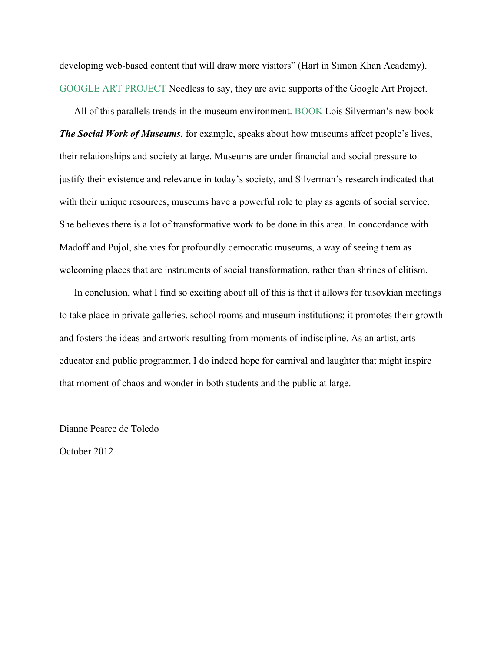developing web-based content that will draw more visitors" (Hart in Simon Khan Academy). GOOGLE ART PROJECT Needless to say, they are avid supports of the Google Art Project.

All of this parallels trends in the museum environment. BOOK Lois Silverman's new book *The Social Work of Museums*, for example, speaks about how museums affect people's lives, their relationships and society at large. Museums are under financial and social pressure to justify their existence and relevance in today's society, and Silverman's research indicated that with their unique resources, museums have a powerful role to play as agents of social service. She believes there is a lot of transformative work to be done in this area. In concordance with Madoff and Pujol, she vies for profoundly democratic museums, a way of seeing them as welcoming places that are instruments of social transformation, rather than shrines of elitism.

In conclusion, what I find so exciting about all of this is that it allows for tusovkian meetings to take place in private galleries, school rooms and museum institutions; it promotes their growth and fosters the ideas and artwork resulting from moments of indiscipline. As an artist, arts educator and public programmer, I do indeed hope for carnival and laughter that might inspire that moment of chaos and wonder in both students and the public at large.

Dianne Pearce de Toledo

October 2012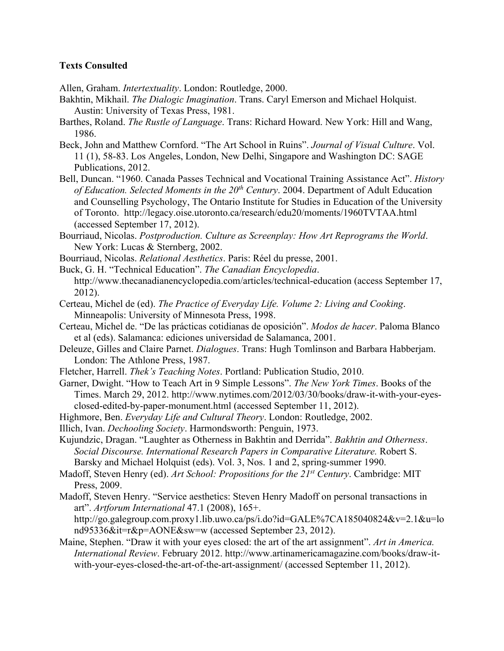## **Texts Consulted**

Allen, Graham. *Intertextuality*. London: Routledge, 2000.

- Bakhtin, Mikhail. *The Dialogic Imagination*. Trans. Caryl Emerson and Michael Holquist. Austin: University of Texas Press, 1981.
- Barthes, Roland. *The Rustle of Language*. Trans: Richard Howard. New York: Hill and Wang, 1986.
- Beck, John and Matthew Cornford. "The Art School in Ruins". *Journal of Visual Culture*. Vol. 11 (1), 58-83. Los Angeles, London, New Delhi, Singapore and Washington DC: SAGE Publications, 2012.
- Bell, Duncan. "1960. Canada Passes Technical and Vocational Training Assistance Act". *History of Education. Selected Moments in the 20th Century*. 2004. Department of Adult Education and Counselling Psychology, The Ontario Institute for Studies in Education of the University of Toronto. http://legacy.oise.utoronto.ca/research/edu20/moments/1960TVTAA.html (accessed September 17, 2012).
- Bourriaud, Nicolas. *Postproduction. Culture as Screenplay: How Art Reprograms the World*. New York: Lucas & Sternberg, 2002.
- Bourriaud, Nicolas. *Relational Aesthetics*. Paris: Réel du presse, 2001.
- Buck, G. H. "Technical Education". *The Canadian Encyclopedia*. http://www.thecanadianencyclopedia.com/articles/technical-education (access September 17, 2012).
- Certeau, Michel de (ed). *The Practice of Everyday Life. Volume 2: Living and Cooking*. Minneapolis: University of Minnesota Press, 1998.
- Certeau, Michel de. "De las prácticas cotidianas de oposición". *Modos de hacer*. Paloma Blanco et al (eds). Salamanca: ediciones universidad de Salamanca, 2001.
- Deleuze, Gilles and Claire Parnet. *Dialogues*. Trans: Hugh Tomlinson and Barbara Habberjam. London: The Athlone Press, 1987.
- Fletcher, Harrell. *Thek's Teaching Notes*. Portland: Publication Studio, 2010.
- Garner, Dwight. "How to Teach Art in 9 Simple Lessons". *The New York Times*. Books of the Times. March 29, 2012. http://www.nytimes.com/2012/03/30/books/draw-it-with-your-eyesclosed-edited-by-paper-monument.html (accessed September 11, 2012).
- Highmore, Ben. *Everyday Life and Cultural Theory*. London: Routledge, 2002.
- Illich, Ivan. *Dechooling Society*. Harmondsworth: Penguin, 1973.
- Kujundzic, Dragan. "Laughter as Otherness in Bakhtin and Derrida". *Bakhtin and Otherness*. *Social Discourse. International Research Papers in Comparative Literature.* Robert S. Barsky and Michael Holquist (eds). Vol. 3, Nos. 1 and 2, spring-summer 1990.
- Madoff, Steven Henry (ed). *Art School: Propositions for the 21st Century*. Cambridge: MIT Press, 2009.
- Madoff, Steven Henry. "Service aesthetics: Steven Henry Madoff on personal transactions in art". *Artforum International* 47.1 (2008), 165+.

http://go.galegroup.com.proxy1.lib.uwo.ca/ps/i.do?id=GALE%7CA185040824&v=2.1&u=lo nd95336&it=r&p=AONE&sw=w (accessed September 23, 2012).

Maine, Stephen. "Draw it with your eyes closed: the art of the art assignment". *Art in America. International Review*. February 2012. http://www.artinamericamagazine.com/books/draw-itwith-your-eyes-closed-the-art-of-the-art-assignment/ (accessed September 11, 2012).